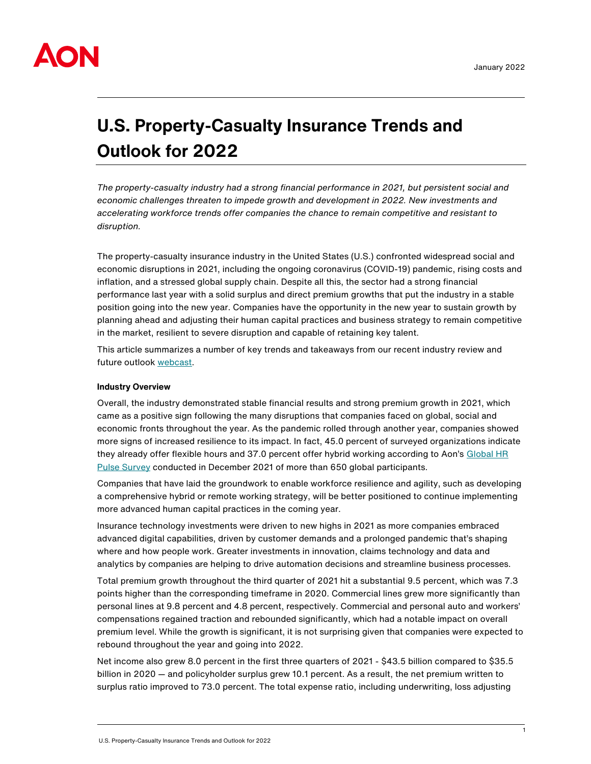

# **U.S. Property-Casualty Insurance Trends and Outlook for 2022**

*The property-casualty industry had a strong financial performance in 2021, but persistent social and economic challenges threaten to impede growth and development in 2022. New investments and accelerating workforce trends offer companies the chance to remain competitive and resistant to disruption.*

The property-casualty insurance industry in the United States (U.S.) confronted widespread social and economic disruptions in 2021, including the ongoing coronavirus (COVID-19) pandemic, rising costs and inflation, and a stressed global supply chain. Despite all this, the sector had a strong financial performance last year with a solid surplus and direct premium growths that put the industry in a stable position going into the new year. Companies have the opportunity in the new year to sustain growth by planning ahead and adjusting their human capital practices and business strategy to remain competitive in the market, resilient to severe disruption and capable of retaining key talent.

This article summarizes a number of key trends and takeaways from our recent industry review and future outlook [webcast.](https://bit.ly/328JgRe)

## **Industry Overview**

Overall, the industry demonstrated stable financial results and strong premium growth in 2021, which came as a positive sign following the many disruptions that companies faced on global, social and economic fronts throughout the year. As the pandemic rolled through another year, companies showed more signs of increased resilience to its impact. In fact, 45.0 percent of surveyed organizations indicate they already offer flexible hours and 37.0 percent offer hybrid working according to Aon's Global HR [Pulse Survey](https://aon.io/3Igcygd) conducted in December 2021 of more than 650 global participants.

Companies that have laid the groundwork to enable workforce resilience and agility, such as developing a comprehensive hybrid or remote working strategy, will be better positioned to continue implementing more advanced human capital practices in the coming year.

Insurance technology investments were driven to new highs in 2021 as more companies embraced advanced digital capabilities, driven by customer demands and a prolonged pandemic that's shaping where and how people work. Greater investments in innovation, claims technology and data and analytics by companies are helping to drive automation decisions and streamline business processes.

Total premium growth throughout the third quarter of 2021 hit a substantial 9.5 percent, which was 7.3 points higher than the corresponding timeframe in 2020. Commercial lines grew more significantly than personal lines at 9.8 percent and 4.8 percent, respectively. Commercial and personal auto and workers' compensations regained traction and rebounded significantly, which had a notable impact on overall premium level. While the growth is significant, it is not surprising given that companies were expected to rebound throughout the year and going into 2022.

Net income also grew 8.0 percent in the first three quarters of 2021 - \$43.5 billion compared to \$35.5 billion in 2020 — and policyholder surplus grew 10.1 percent. As a result, the net premium written to surplus ratio improved to 73.0 percent. The total expense ratio, including underwriting, loss adjusting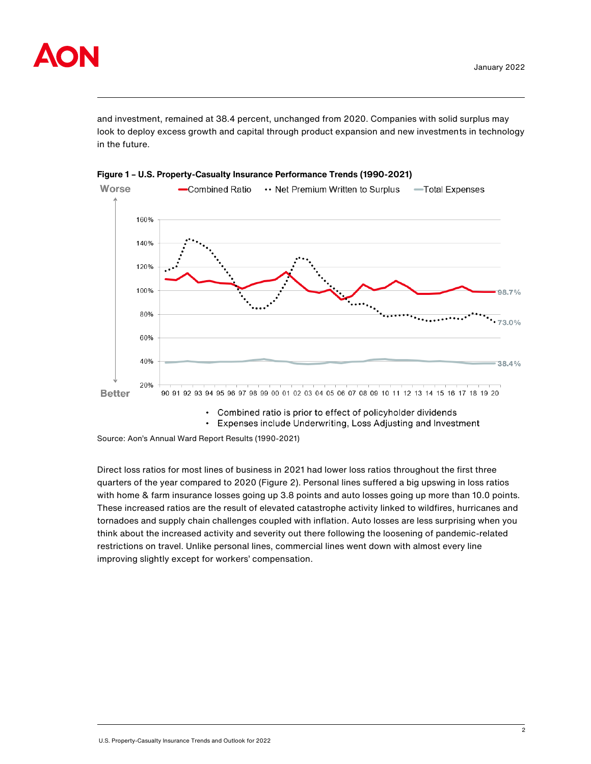

and investment, remained at 38.4 percent, unchanged from 2020. Companies with solid surplus may look to deploy excess growth and capital through product expansion and new investments in technology in the future.





Combined ratio is prior to effect of policyholder dividends  $\bullet$ 

• Expenses include Underwriting, Loss Adjusting and Investment

Source: Aon's Annual Ward Report Results (1990-2021)

Direct loss ratios for most lines of business in 2021 had lower loss ratios throughout the first three quarters of the year compared to 2020 (Figure 2). Personal lines suffered a big upswing in loss ratios with home & farm insurance losses going up 3.8 points and auto losses going up more than 10.0 points. These increased ratios are the result of elevated catastrophe activity linked to wildfires, hurricanes and tornadoes and supply chain challenges coupled with inflation. Auto losses are less surprising when you think about the increased activity and severity out there following the loosening of pandemic-related restrictions on travel. Unlike personal lines, commercial lines went down with almost every line improving slightly except for workers' compensation.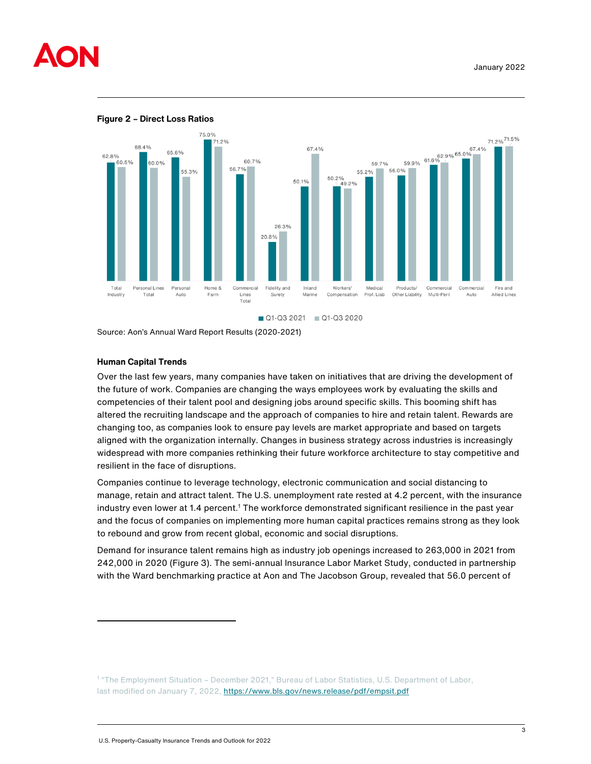





Source: Aon's Annual Ward Report Results (2020-2021)

# **Human Capital Trends**

Over the last few years, many companies have taken on initiatives that are driving the development of the future of work. Companies are changing the ways employees work by evaluating the skills and competencies of their talent pool and designing jobs around specific skills. This booming shift has altered the recruiting landscape and the approach of companies to hire and retain talent. Rewards are changing too, as companies look to ensure pay levels are market appropriate and based on targets aligned with the organization internally. Changes in business strategy across industries is increasingly widespread with more companies rethinking their future workforce architecture to stay competitive and resilient in the face of disruptions.

Companies continue to leverage technology, electronic communication and social distancing to manage, retain and attract talent. The U.S. unemployment rate rested at 4.2 percent, with the insurance industry even lower at 1.4 percent.<sup>1</sup> The workforce demonstrated significant resilience in the past year and the focus of companies on implementing more human capital practices remains strong as they look to rebound and grow from recent global, economic and social disruptions.

Demand for insurance talent remains high as industry job openings increased to 263,000 in 2021 from 242,000 in 2020 (Figure 3). The semi-annual Insurance Labor Market Study, conducted in partnership with the Ward benchmarking practice at Aon and The Jacobson Group, revealed that 56.0 percent of

<sup>&</sup>lt;sup>1</sup> "The Employment Situation - December 2021," Bureau of Labor Statistics, U.S. Department of Labor, last modified on January 7, 2022,<https://www.bls.gov/news.release/pdf/empsit.pdf>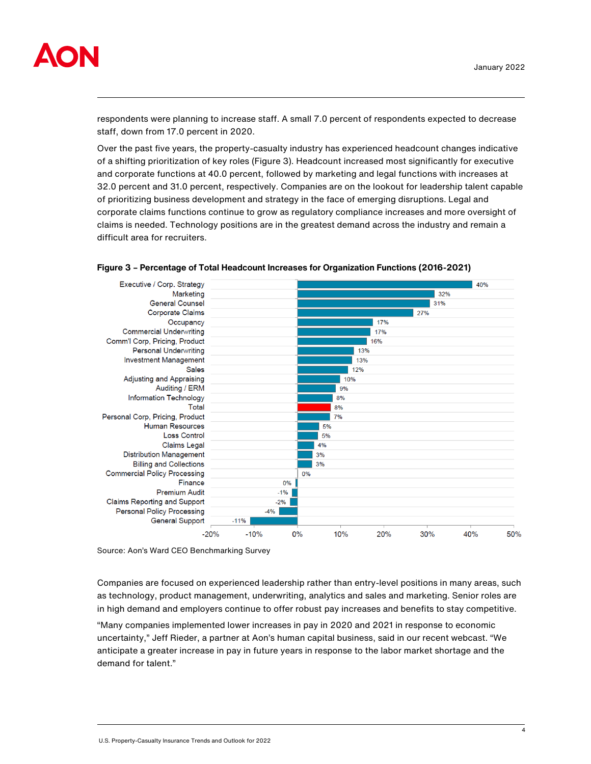

respondents were planning to increase staff. A small 7.0 percent of respondents expected to decrease staff, down from 17.0 percent in 2020.

Over the past five years, the property-casualty industry has experienced headcount changes indicative of a shifting prioritization of key roles (Figure 3). Headcount increased most significantly for executive and corporate functions at 40.0 percent, followed by marketing and legal functions with increases at 32.0 percent and 31.0 percent, respectively. Companies are on the lookout for leadership talent capable of prioritizing business development and strategy in the face of emerging disruptions. Legal and corporate claims functions continue to grow as regulatory compliance increases and more oversight of claims is needed. Technology positions are in the greatest demand across the industry and remain a difficult area for recruiters.



**Figure 3 – Percentage of Total Headcount Increases for Organization Functions (2016-2021)**

Source: Aon's Ward CEO Benchmarking Survey

Companies are focused on experienced leadership rather than entry-level positions in many areas, such as technology, product management, underwriting, analytics and sales and marketing. Senior roles are in high demand and employers continue to offer robust pay increases and benefits to stay competitive.

"Many companies implemented lower increases in pay in 2020 and 2021 in response to economic uncertainty," Jeff Rieder, a partner at Aon's human capital business, said in our recent webcast. "We anticipate a greater increase in pay in future years in response to the labor market shortage and the demand for talent."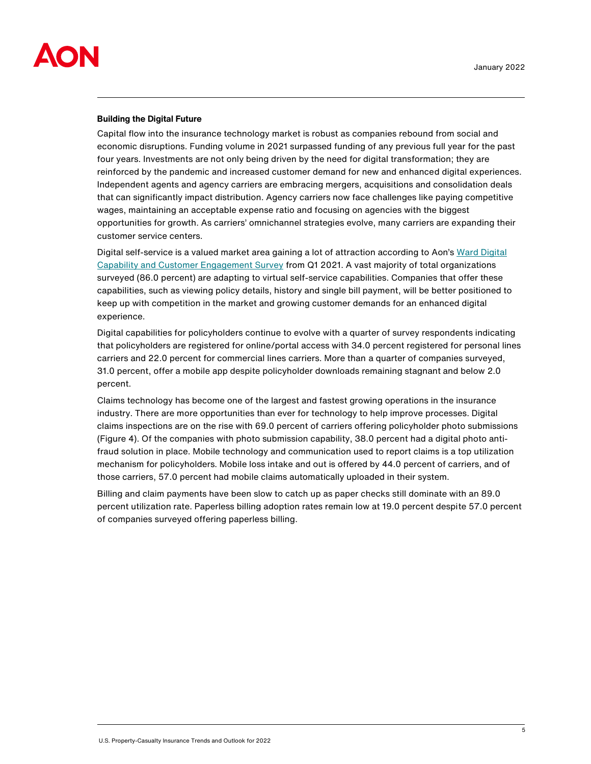

#### **Building the Digital Future**

Capital flow into the insurance technology market is robust as companies rebound from social and economic disruptions. Funding volume in 2021 surpassed funding of any previous full year for the past four years. Investments are not only being driven by the need for digital transformation; they are reinforced by the pandemic and increased customer demand for new and enhanced digital experiences. Independent agents and agency carriers are embracing mergers, acquisitions and consolidation deals that can significantly impact distribution. Agency carriers now face challenges like paying competitive wages, maintaining an acceptable expense ratio and focusing on agencies with the biggest opportunities for growth. As carriers' omnichannel strategies evolve, many carriers are expanding their customer service centers.

Digital self-service is a valued market area gaining a lot of attraction according to Aon's [Ward Digital](https://aon.io/3KeRybs)  [Capability and Customer Engagement Survey](https://aon.io/3KeRybs) from Q1 2021. A vast majority of total organizations surveyed (86.0 percent) are adapting to virtual self-service capabilities. Companies that offer these capabilities, such as viewing policy details, history and single bill payment, will be better positioned to keep up with competition in the market and growing customer demands for an enhanced digital experience.

Digital capabilities for policyholders continue to evolve with a quarter of survey respondents indicating that policyholders are registered for online/portal access with 34.0 percent registered for personal lines carriers and 22.0 percent for commercial lines carriers. More than a quarter of companies surveyed, 31.0 percent, offer a mobile app despite policyholder downloads remaining stagnant and below 2.0 percent.

Claims technology has become one of the largest and fastest growing operations in the insurance industry. There are more opportunities than ever for technology to help improve processes. Digital claims inspections are on the rise with 69.0 percent of carriers offering policyholder photo submissions (Figure 4). Of the companies with photo submission capability, 38.0 percent had a digital photo antifraud solution in place. Mobile technology and communication used to report claims is a top utilization mechanism for policyholders. Mobile loss intake and out is offered by 44.0 percent of carriers, and of those carriers, 57.0 percent had mobile claims automatically uploaded in their system.

Billing and claim payments have been slow to catch up as paper checks still dominate with an 89.0 percent utilization rate. Paperless billing adoption rates remain low at 19.0 percent despite 57.0 percent of companies surveyed offering paperless billing.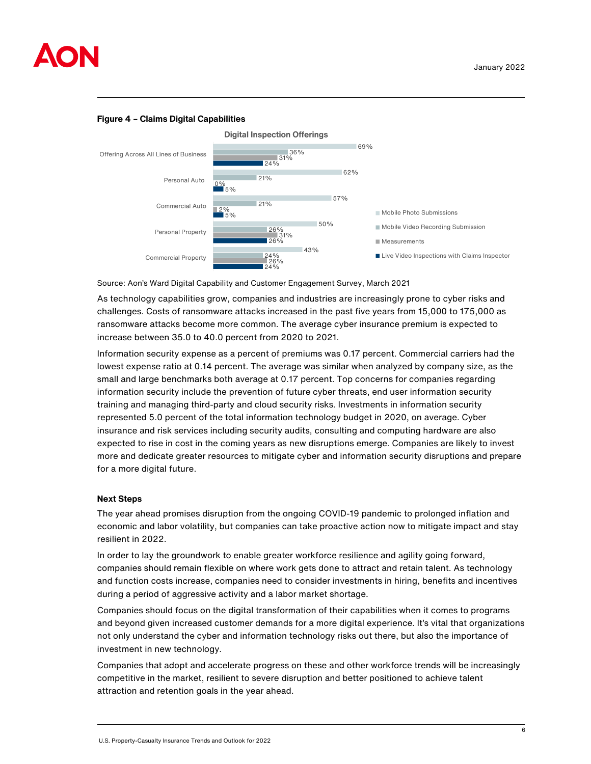

# **Figure 4 – Claims Digital Capabilities**



Source: Aon's Ward Digital Capability and Customer Engagement Survey, March 2021

As technology capabilities grow, companies and industries are increasingly prone to cyber risks and challenges. Costs of ransomware attacks increased in the past five years from 15,000 to 175,000 as ransomware attacks become more common. The average cyber insurance premium is expected to increase between 35.0 to 40.0 percent from 2020 to 2021.

Information security expense as a percent of premiums was 0.17 percent. Commercial carriers had the lowest expense ratio at 0.14 percent. The average was similar when analyzed by company size, as the small and large benchmarks both average at 0.17 percent. Top concerns for companies regarding information security include the prevention of future cyber threats, end user information security training and managing third-party and cloud security risks. Investments in information security represented 5.0 percent of the total information technology budget in 2020, on average. Cyber insurance and risk services including security audits, consulting and computing hardware are also expected to rise in cost in the coming years as new disruptions emerge. Companies are likely to invest more and dedicate greater resources to mitigate cyber and information security disruptions and prepare for a more digital future.

#### **Next Steps**

The year ahead promises disruption from the ongoing COVID-19 pandemic to prolonged inflation and economic and labor volatility, but companies can take proactive action now to mitigate impact and stay resilient in 2022.

In order to lay the groundwork to enable greater workforce resilience and agility going forward, companies should remain flexible on where work gets done to attract and retain talent. As technology and function costs increase, companies need to consider investments in hiring, benefits and incentives during a period of aggressive activity and a labor market shortage.

Companies should focus on the digital transformation of their capabilities when it comes to programs and beyond given increased customer demands for a more digital experience. It's vital that organizations not only understand the cyber and information technology risks out there, but also the importance of investment in new technology.

Companies that adopt and accelerate progress on these and other workforce trends will be increasingly competitive in the market, resilient to severe disruption and better positioned to achieve talent attraction and retention goals in the year ahead.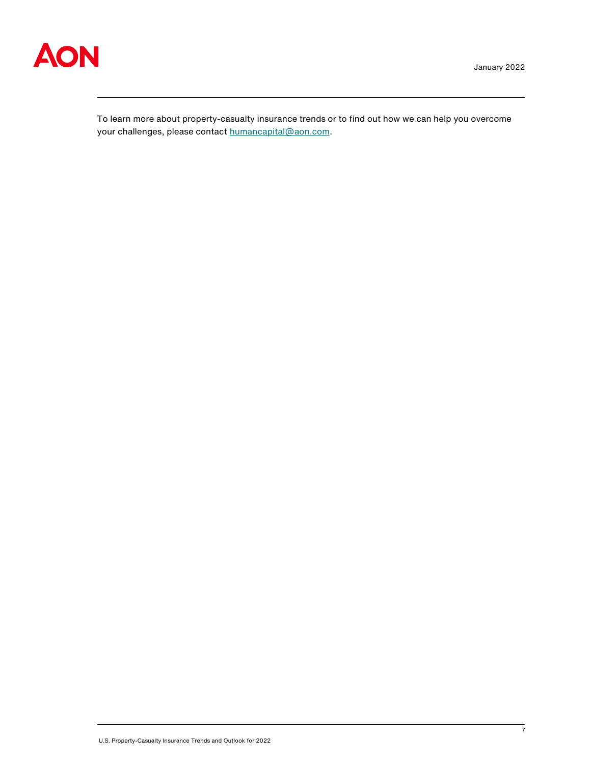

To learn more about property-casualty insurance trends or to find out how we can help you overcome your challenges, please contact [humancapital@aon.com.](mailto:humancapital@aon.com)